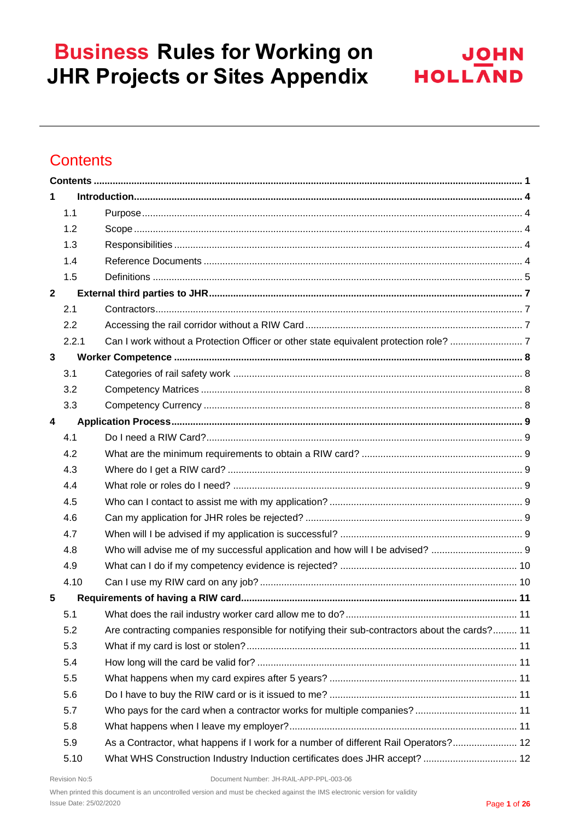

## <span id="page-0-0"></span>**Contents**

| 1            |       |                                                                                               |  |
|--------------|-------|-----------------------------------------------------------------------------------------------|--|
|              | 1.1   |                                                                                               |  |
|              | 1.2   |                                                                                               |  |
|              | 1.3   |                                                                                               |  |
|              | 1.4   |                                                                                               |  |
|              | 1.5   |                                                                                               |  |
| $\mathbf{2}$ |       |                                                                                               |  |
|              | 2.1   |                                                                                               |  |
|              | 2.2   |                                                                                               |  |
|              | 2.2.1 |                                                                                               |  |
| $\mathbf{3}$ |       |                                                                                               |  |
|              | 3.1   |                                                                                               |  |
|              | 3.2   |                                                                                               |  |
|              | 3.3   |                                                                                               |  |
| 4            |       |                                                                                               |  |
|              | 4.1   |                                                                                               |  |
|              | 4.2   |                                                                                               |  |
|              | 4.3   |                                                                                               |  |
|              | 4.4   |                                                                                               |  |
|              | 4.5   |                                                                                               |  |
|              | 4.6   |                                                                                               |  |
|              | 4.7   |                                                                                               |  |
|              | 4.8   |                                                                                               |  |
|              | 4.9   |                                                                                               |  |
|              | 4.10  |                                                                                               |  |
| 5            |       |                                                                                               |  |
|              | 5.1   |                                                                                               |  |
|              | 5.2   | Are contracting companies responsible for notifying their sub-contractors about the cards? 11 |  |
|              | 5.3   |                                                                                               |  |
|              | 5.4   |                                                                                               |  |
|              | 5.5   |                                                                                               |  |
|              | 5.6   |                                                                                               |  |
|              | 5.7   |                                                                                               |  |
|              | 5.8   |                                                                                               |  |
|              | 5.9   | As a Contractor, what happens if I work for a number of different Rail Operators? 12          |  |
|              | 5.10  | What WHS Construction Industry Induction certificates does JHR accept?  12                    |  |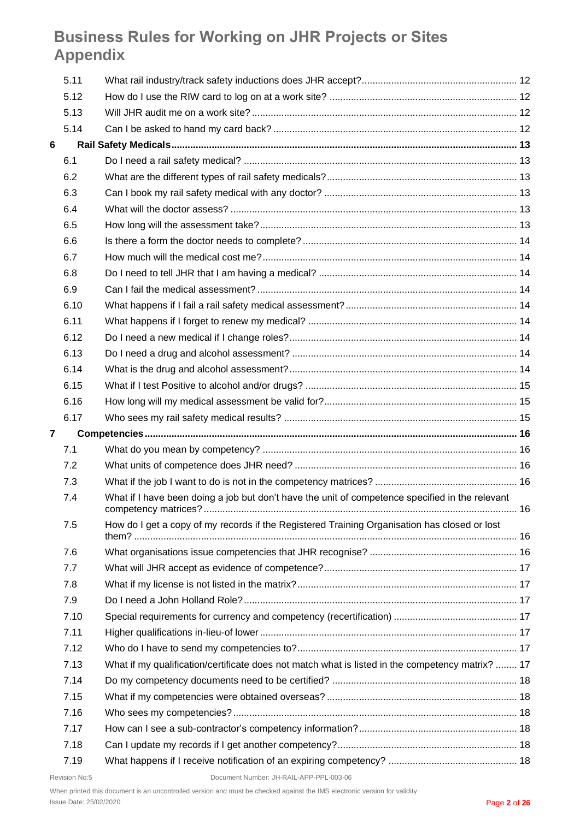|                | 5.11 |                                                                                                  |  |
|----------------|------|--------------------------------------------------------------------------------------------------|--|
|                | 5.12 |                                                                                                  |  |
|                | 5.13 |                                                                                                  |  |
|                | 5.14 |                                                                                                  |  |
| 6              |      |                                                                                                  |  |
|                | 6.1  |                                                                                                  |  |
|                | 6.2  |                                                                                                  |  |
|                | 6.3  |                                                                                                  |  |
|                | 6.4  |                                                                                                  |  |
|                | 6.5  |                                                                                                  |  |
|                | 6.6  |                                                                                                  |  |
|                | 6.7  |                                                                                                  |  |
|                | 6.8  |                                                                                                  |  |
|                | 6.9  |                                                                                                  |  |
|                | 6.10 |                                                                                                  |  |
|                | 6.11 |                                                                                                  |  |
|                | 6.12 |                                                                                                  |  |
|                | 6.13 |                                                                                                  |  |
|                | 6.14 |                                                                                                  |  |
|                | 6.15 |                                                                                                  |  |
|                | 6.16 |                                                                                                  |  |
|                | 6.17 |                                                                                                  |  |
|                |      |                                                                                                  |  |
| $\overline{7}$ |      |                                                                                                  |  |
|                | 7.1  |                                                                                                  |  |
|                | 7.2  |                                                                                                  |  |
|                | 7.3  |                                                                                                  |  |
|                | 7.4  | What if I have been doing a job but don't have the unit of competence specified in the relevant  |  |
|                | 7.5  | How do I get a copy of my records if the Registered Training Organisation has closed or lost     |  |
|                | 7.6  |                                                                                                  |  |
|                | 7.7  |                                                                                                  |  |
|                | 7.8  |                                                                                                  |  |
|                | 7.9  |                                                                                                  |  |
|                | 7.10 |                                                                                                  |  |
|                | 7.11 |                                                                                                  |  |
|                | 7.12 |                                                                                                  |  |
|                | 7.13 | What if my qualification/certificate does not match what is listed in the competency matrix?  17 |  |
|                | 7.14 |                                                                                                  |  |
|                | 7.15 |                                                                                                  |  |
|                | 7.16 |                                                                                                  |  |
|                | 7.17 |                                                                                                  |  |
|                | 7.18 |                                                                                                  |  |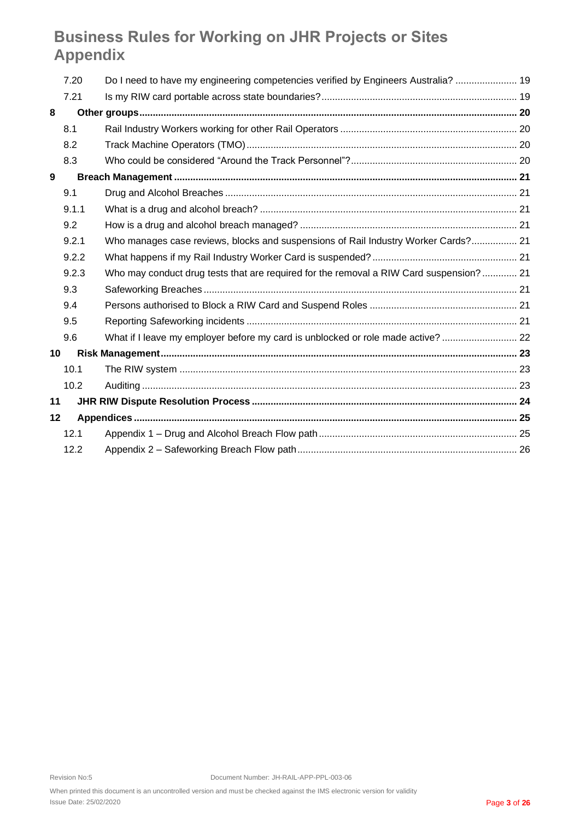| 7.20    | Do I need to have my engineering competencies verified by Engineers Australia?  19     |  |
|---------|----------------------------------------------------------------------------------------|--|
| 7.21    |                                                                                        |  |
|         |                                                                                        |  |
| 8.1     |                                                                                        |  |
| 8.2     |                                                                                        |  |
| 8.3     |                                                                                        |  |
|         |                                                                                        |  |
| 9.1     |                                                                                        |  |
| 9.1.1   |                                                                                        |  |
| 9.2     |                                                                                        |  |
| 9.2.1   | Who manages case reviews, blocks and suspensions of Rail Industry Worker Cards? 21     |  |
| 9.2.2   |                                                                                        |  |
| 9.2.3   | Who may conduct drug tests that are required for the removal a RIW Card suspension? 21 |  |
| 9.3     |                                                                                        |  |
| 9.4     |                                                                                        |  |
| 9.5     |                                                                                        |  |
| 9.6     | What if I leave my employer before my card is unblocked or role made active?  22       |  |
| 10      |                                                                                        |  |
| 10.1    |                                                                                        |  |
| 10.2    |                                                                                        |  |
| 11      |                                                                                        |  |
| $12 \,$ |                                                                                        |  |
| 12.1    |                                                                                        |  |
| 12.2    |                                                                                        |  |
|         |                                                                                        |  |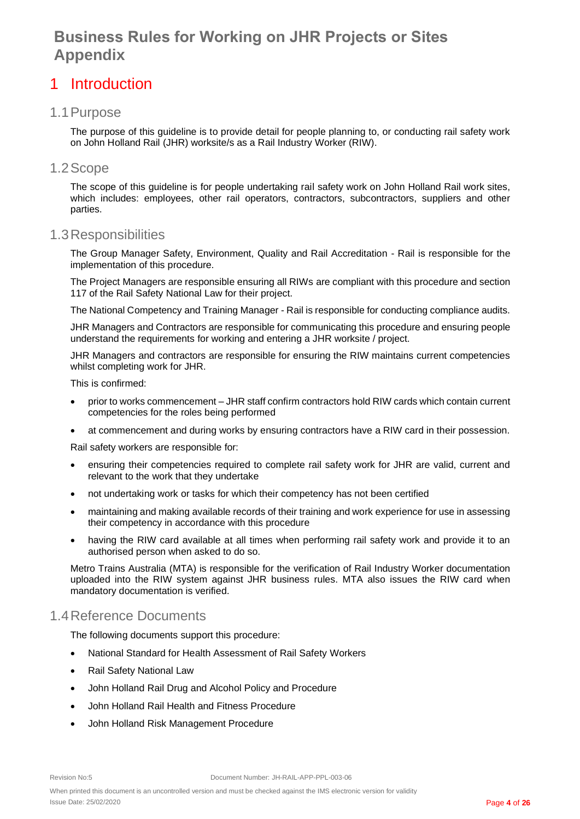### <span id="page-3-0"></span>1 Introduction

### <span id="page-3-1"></span>1.1Purpose

The purpose of this guideline is to provide detail for people planning to, or conducting rail safety work on John Holland Rail (JHR) worksite/s as a Rail Industry Worker (RIW).

#### <span id="page-3-2"></span>1.2Scope

The scope of this guideline is for people undertaking rail safety work on John Holland Rail work sites, which includes: employees, other rail operators, contractors, subcontractors, suppliers and other parties.

#### <span id="page-3-3"></span>1.3Responsibilities

The Group Manager Safety, Environment, Quality and Rail Accreditation - Rail is responsible for the implementation of this procedure.

The Project Managers are responsible ensuring all RIWs are compliant with this procedure and section 117 of the Rail Safety National Law for their project.

The National Competency and Training Manager - Rail is responsible for conducting compliance audits.

JHR Managers and Contractors are responsible for communicating this procedure and ensuring people understand the requirements for working and entering a JHR worksite / project.

JHR Managers and contractors are responsible for ensuring the RIW maintains current competencies whilst completing work for JHR.

This is confirmed:

- prior to works commencement JHR staff confirm contractors hold RIW cards which contain current competencies for the roles being performed
- at commencement and during works by ensuring contractors have a RIW card in their possession.

Rail safety workers are responsible for:

- ensuring their competencies required to complete rail safety work for JHR are valid, current and relevant to the work that they undertake
- not undertaking work or tasks for which their competency has not been certified
- maintaining and making available records of their training and work experience for use in assessing their competency in accordance with this procedure
- having the RIW card available at all times when performing rail safety work and provide it to an authorised person when asked to do so.

Metro Trains Australia (MTA) is responsible for the verification of Rail Industry Worker documentation uploaded into the RIW system against JHR business rules. MTA also issues the RIW card when mandatory documentation is verified.

### <span id="page-3-4"></span>1.4Reference Documents

The following documents support this procedure:

- [National Standard for Health Assessment of Rail Safety Workers](http://ntc.gov.au/filemedia/Reports/NatStanHARSWOct2012.pdf)
- Rail Safety National Law
- John Holland Rail Drug and Alcohol Policy and Procedure
- John Holland Rail Health and Fitness Procedure
- John Holland Risk Management Procedure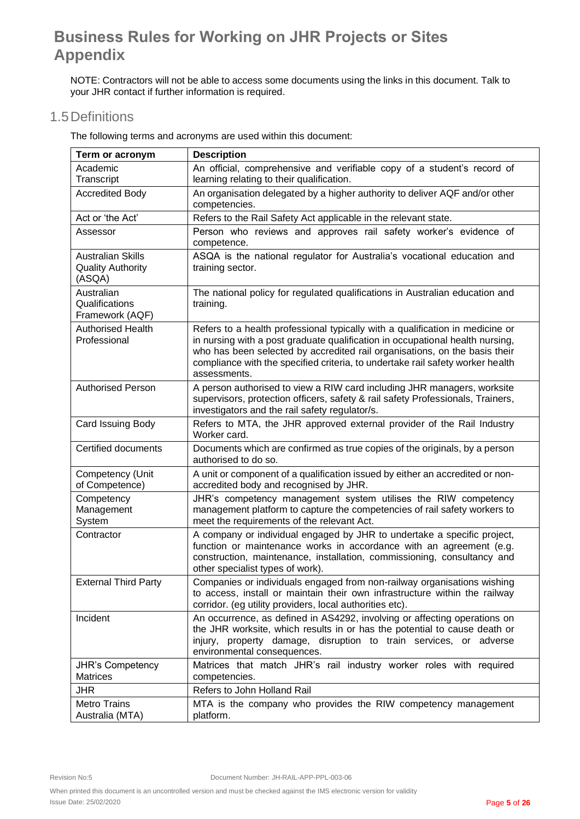NOTE: Contractors will not be able to access some documents using the links in this document. Talk to your JHR contact if further information is required.

### <span id="page-4-0"></span>1.5Definitions

The following terms and acronyms are used within this document:

| Term or acronym                                                | <b>Description</b>                                                                                                                                                                                                                                                                                                                             |
|----------------------------------------------------------------|------------------------------------------------------------------------------------------------------------------------------------------------------------------------------------------------------------------------------------------------------------------------------------------------------------------------------------------------|
| Academic                                                       | An official, comprehensive and verifiable copy of a student's record of                                                                                                                                                                                                                                                                        |
| Transcript                                                     | learning relating to their qualification.                                                                                                                                                                                                                                                                                                      |
| <b>Accredited Body</b>                                         | An organisation delegated by a higher authority to deliver AQF and/or other<br>competencies.                                                                                                                                                                                                                                                   |
| Act or 'the Act'                                               | Refers to the Rail Safety Act applicable in the relevant state.                                                                                                                                                                                                                                                                                |
| Assessor                                                       | Person who reviews and approves rail safety worker's evidence of<br>competence.                                                                                                                                                                                                                                                                |
| <b>Australian Skills</b><br><b>Quality Authority</b><br>(ASQA) | ASQA is the national regulator for Australia's vocational education and<br>training sector.                                                                                                                                                                                                                                                    |
| Australian<br>Qualifications<br>Framework (AQF)                | The national policy for regulated qualifications in Australian education and<br>training.                                                                                                                                                                                                                                                      |
| <b>Authorised Health</b><br>Professional                       | Refers to a health professional typically with a qualification in medicine or<br>in nursing with a post graduate qualification in occupational health nursing,<br>who has been selected by accredited rail organisations, on the basis their<br>compliance with the specified criteria, to undertake rail safety worker health<br>assessments. |
| <b>Authorised Person</b>                                       | A person authorised to view a RIW card including JHR managers, worksite<br>supervisors, protection officers, safety & rail safety Professionals, Trainers,<br>investigators and the rail safety regulator/s.                                                                                                                                   |
| Card Issuing Body                                              | Refers to MTA, the JHR approved external provider of the Rail Industry<br>Worker card.                                                                                                                                                                                                                                                         |
| Certified documents                                            | Documents which are confirmed as true copies of the originals, by a person<br>authorised to do so.                                                                                                                                                                                                                                             |
| Competency (Unit<br>of Competence)                             | A unit or component of a qualification issued by either an accredited or non-<br>accredited body and recognised by JHR.                                                                                                                                                                                                                        |
| Competency<br>Management<br>System                             | JHR's competency management system utilises the RIW competency<br>management platform to capture the competencies of rail safety workers to<br>meet the requirements of the relevant Act.                                                                                                                                                      |
| Contractor                                                     | A company or individual engaged by JHR to undertake a specific project,<br>function or maintenance works in accordance with an agreement (e.g.<br>construction, maintenance, installation, commissioning, consultancy and<br>other specialist types of work).                                                                                  |
| <b>External Third Party</b>                                    | Companies or individuals engaged from non-railway organisations wishing<br>to access, install or maintain their own infrastructure within the railway<br>corridor. (eg utility providers, local authorities etc).                                                                                                                              |
| Incident                                                       | An occurrence, as defined in AS4292, involving or affecting operations on<br>the JHR worksite, which results in or has the potential to cause death or<br>injury, property damage, disruption to train services, or adverse<br>environmental consequences.                                                                                     |
| JHR's Competency<br><b>Matrices</b>                            | Matrices that match JHR's rail industry worker roles with required<br>competencies.                                                                                                                                                                                                                                                            |
| <b>JHR</b>                                                     | Refers to John Holland Rail                                                                                                                                                                                                                                                                                                                    |
| <b>Metro Trains</b><br>Australia (MTA)                         | MTA is the company who provides the RIW competency management<br>platform.                                                                                                                                                                                                                                                                     |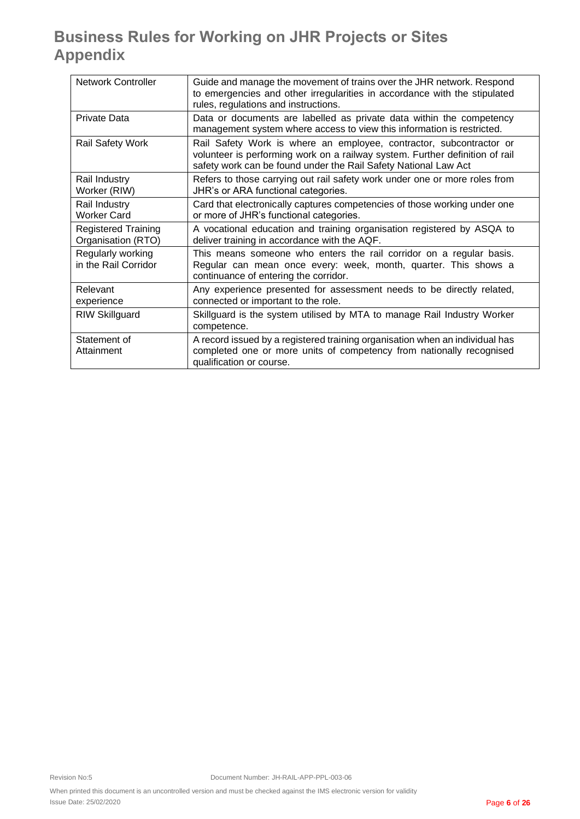| <b>Network Controller</b>                        | Guide and manage the movement of trains over the JHR network. Respond<br>to emergencies and other irregularities in accordance with the stipulated<br>rules, regulations and instructions.                             |
|--------------------------------------------------|------------------------------------------------------------------------------------------------------------------------------------------------------------------------------------------------------------------------|
| Private Data                                     | Data or documents are labelled as private data within the competency<br>management system where access to view this information is restricted.                                                                         |
| <b>Rail Safety Work</b>                          | Rail Safety Work is where an employee, contractor, subcontractor or<br>volunteer is performing work on a railway system. Further definition of rail<br>safety work can be found under the Rail Safety National Law Act |
| Rail Industry<br>Worker (RIW)                    | Refers to those carrying out rail safety work under one or more roles from<br>JHR's or ARA functional categories.                                                                                                      |
| Rail Industry<br>Worker Card                     | Card that electronically captures competencies of those working under one<br>or more of JHR's functional categories.                                                                                                   |
| <b>Registered Training</b><br>Organisation (RTO) | A vocational education and training organisation registered by ASQA to<br>deliver training in accordance with the AQF.                                                                                                 |
| Regularly working<br>in the Rail Corridor        | This means someone who enters the rail corridor on a regular basis.<br>Regular can mean once every: week, month, quarter. This shows a<br>continuance of entering the corridor.                                        |
| Relevant<br>experience                           | Any experience presented for assessment needs to be directly related,<br>connected or important to the role.                                                                                                           |
| <b>RIW Skillguard</b>                            | Skillguard is the system utilised by MTA to manage Rail Industry Worker<br>competence.                                                                                                                                 |
| Statement of<br>Attainment                       | A record issued by a registered training organisation when an individual has<br>completed one or more units of competency from nationally recognised<br>qualification or course.                                       |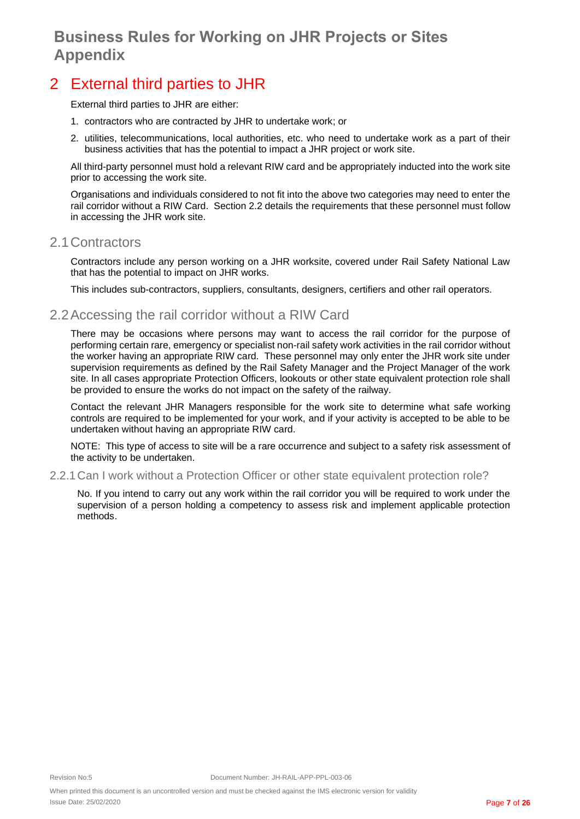## <span id="page-6-0"></span>2 External third parties to JHR

External third parties to JHR are either:

- 1. contractors who are contracted by JHR to undertake work; or
- 2. utilities, telecommunications, local authorities, etc. who need to undertake work as a part of their business activities that has the potential to impact a JHR project or work site.

All third-party personnel must hold a relevant RIW card and be appropriately inducted into the work site prior to accessing the work site.

Organisations and individuals considered to not fit into the above two categories may need to enter the rail corridor without a RIW Card. Section 2.2 details the requirements that these personnel must follow in accessing the JHR work site.

#### <span id="page-6-1"></span>2.1Contractors

Contractors include any person working on a JHR worksite, covered under Rail Safety National Law that has the potential to impact on JHR works.

This includes sub-contractors, suppliers, consultants, designers, certifiers and other rail operators.

### <span id="page-6-2"></span>2.2Accessing the rail corridor without a RIW Card

There may be occasions where persons may want to access the rail corridor for the purpose of performing certain rare, emergency or specialist non-rail safety work activities in the rail corridor without the worker having an appropriate RIW card. These personnel may only enter the JHR work site under supervision requirements as defined by the Rail Safety Manager and the Project Manager of the work site. In all cases appropriate Protection Officers, lookouts or other state equivalent protection role shall be provided to ensure the works do not impact on the safety of the railway.

Contact the relevant JHR Managers responsible for the work site to determine what safe working controls are required to be implemented for your work, and if your activity is accepted to be able to be undertaken without having an appropriate RIW card.

NOTE: This type of access to site will be a rare occurrence and subject to a safety risk assessment of the activity to be undertaken.

<span id="page-6-3"></span>2.2.1Can I work without a Protection Officer or other state equivalent protection role?

No. If you intend to carry out any work within the rail corridor you will be required to work under the supervision of a person holding a competency to assess risk and implement applicable protection methods.

When printed this document is an uncontrolled version and must be checked against the IMS electronic version for validity Issue Date: 25/02/2020 Page **7** of **26**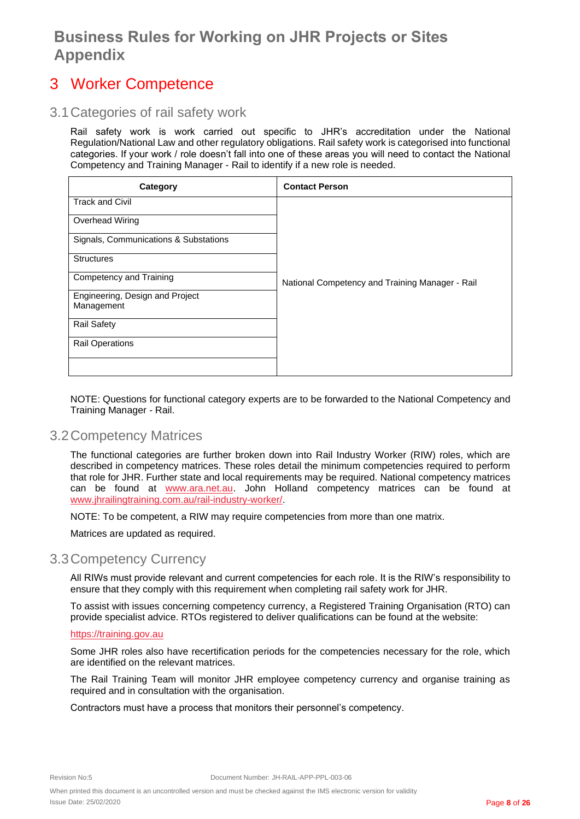### <span id="page-7-0"></span>3 Worker Competence

### <span id="page-7-1"></span>3.1Categories of rail safety work

Rail safety work is work carried out specific to JHR's accreditation under the National Regulation/National Law and other regulatory obligations. Rail safety work is categorised into functional categories. If your work / role doesn't fall into one of these areas you will need to contact the National Competency and Training Manager - Rail to identify if a new role is needed.

| Category                                      | <b>Contact Person</b>                           |
|-----------------------------------------------|-------------------------------------------------|
| <b>Track and Civil</b>                        |                                                 |
| Overhead Wiring                               |                                                 |
| Signals, Communications & Substations         |                                                 |
| <b>Structures</b>                             |                                                 |
| Competency and Training                       | National Competency and Training Manager - Rail |
| Engineering, Design and Project<br>Management |                                                 |
|                                               |                                                 |
| <b>Rail Safety</b>                            |                                                 |
| <b>Rail Operations</b>                        |                                                 |
|                                               |                                                 |

NOTE: Questions for functional category experts are to be forwarded to the National Competency and Training Manager - Rail.

#### <span id="page-7-2"></span>3.2Competency Matrices

The functional categories are further broken down into Rail Industry Worker (RIW) roles, which are described in competency matrices. These roles detail the minimum competencies required to perform that role for JHR. Further state and local requirements may be required. National competency matrices can be found at [www.ara.net.au](http://www.ara.net.au/). John Holland competency matrices can be found at [www.jhrailingtraining.com.au/rail-industry-worker/](http://www.jhrailingtraining.com.au/rail-industry-worker/).

NOTE: To be competent, a RIW may require competencies from more than one matrix.

Matrices are updated as required.

### <span id="page-7-3"></span>3.3Competency Currency

All RIWs must provide relevant and current competencies for each role. It is the RIW's responsibility to ensure that they comply with this requirement when completing rail safety work for JHR.

To assist with issues concerning competency currency, a Registered Training Organisation (RTO) can provide specialist advice. RTOs registered to deliver qualifications can be found at the website:

#### [https://training.gov.au](https://training.gov.au/)

Some JHR roles also have recertification periods for the competencies necessary for the role, which are identified on the relevant matrices.

The Rail Training Team will monitor JHR employee competency currency and organise training as required and in consultation with the organisation.

Contractors must have a process that monitors their personnel's competency.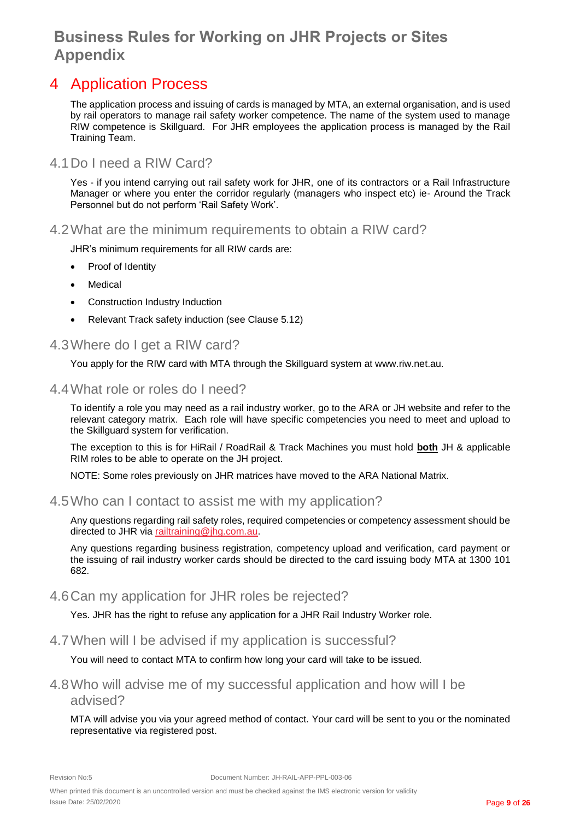### <span id="page-8-0"></span>4 Application Process

The application process and issuing of cards is managed by MTA, an external organisation, and is used by rail operators to manage rail safety worker competence. The name of the system used to manage RIW competence is Skillguard. For JHR employees the application process is managed by the Rail Training Team.

### <span id="page-8-1"></span>4.1Do I need a RIW Card?

Yes - if you intend carrying out rail safety work for JHR, one of its contractors or a Rail Infrastructure Manager or where you enter the corridor regularly (managers who inspect etc) ie- Around the Track Personnel but do not perform 'Rail Safety Work'.

<span id="page-8-2"></span>4.2What are the minimum requirements to obtain a RIW card?

JHR's minimum requirements for all RIW cards are:

- Proof of Identity
- **Medical**
- Construction Industry Induction
- Relevant Track safety induction (see Clause 5.12)

### <span id="page-8-3"></span>4.3Where do I get a RIW card?

You apply for the RIW card with MTA through the Skillguard system at www.riw.net.au.

#### <span id="page-8-4"></span>4.4What role or roles do I need?

To identify a role you may need as a rail industry worker, go to the ARA or JH website and refer to the relevant category matrix. Each role will have specific competencies you need to meet and upload to the Skillguard system for verification.

The exception to this is for HiRail / RoadRail & Track Machines you must hold **both** JH & applicable RIM roles to be able to operate on the JH project.

NOTE: Some roles previously on JHR matrices have moved to the ARA National Matrix.

#### <span id="page-8-5"></span>4.5Who can I contact to assist me with my application?

Any questions regarding rail safety roles, required competencies or competency assessment should be directed to JHR via [railtraining@jhg.com.au](mailto:railtraining@jhg.com.au).

Any questions regarding business registration, competency upload and verification, card payment or the issuing of rail industry worker cards should be directed to the card issuing body MTA at 1300 101 682.

#### <span id="page-8-6"></span>4.6Can my application for JHR roles be rejected?

Yes. JHR has the right to refuse any application for a JHR Rail Industry Worker role.

#### <span id="page-8-7"></span>4.7When will I be advised if my application is successful?

You will need to contact MTA to confirm how long your card will take to be issued.

### <span id="page-8-8"></span>4.8Who will advise me of my successful application and how will I be advised?

MTA will advise you via your agreed method of contact. Your card will be sent to you or the nominated representative via registered post.

When printed this document is an uncontrolled version and must be checked against the IMS electronic version for validity Issue Date: 25/02/2020 Page **9** of **26**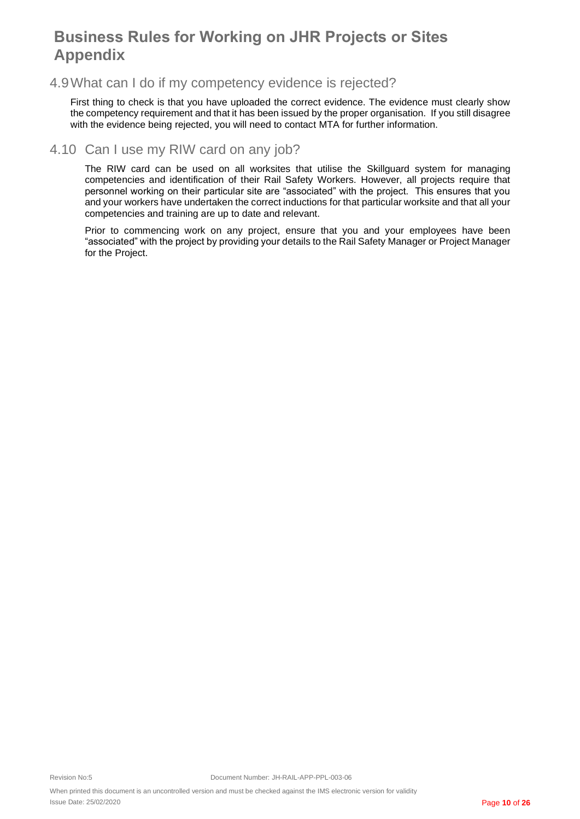### <span id="page-9-0"></span>4.9What can I do if my competency evidence is rejected?

First thing to check is that you have uploaded the correct evidence. The evidence must clearly show the competency requirement and that it has been issued by the proper organisation. If you still disagree with the evidence being rejected, you will need to contact MTA for further information.

### <span id="page-9-1"></span>4.10 Can I use my RIW card on any job?

The RIW card can be used on all worksites that utilise the Skillguard system for managing competencies and identification of their Rail Safety Workers. However, all projects require that personnel working on their particular site are "associated" with the project. This ensures that you and your workers have undertaken the correct inductions for that particular worksite and that all your competencies and training are up to date and relevant.

Prior to commencing work on any project, ensure that you and your employees have been "associated" with the project by providing your details to the Rail Safety Manager or Project Manager for the Project.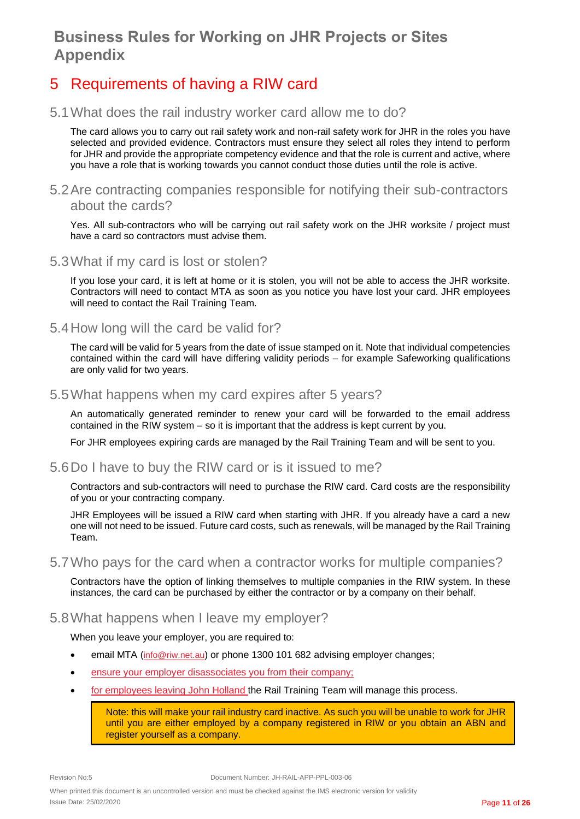## <span id="page-10-0"></span>5 Requirements of having a RIW card

### <span id="page-10-1"></span>5.1What does the rail industry worker card allow me to do?

The card allows you to carry out rail safety work and non-rail safety work for JHR in the roles you have selected and provided evidence. Contractors must ensure they select all roles they intend to perform for JHR and provide the appropriate competency evidence and that the role is current and active, where you have a role that is working towards you cannot conduct those duties until the role is active.

### <span id="page-10-2"></span>5.2Are contracting companies responsible for notifying their sub-contractors about the cards?

Yes. All sub-contractors who will be carrying out rail safety work on the JHR worksite / project must have a card so contractors must advise them.

### <span id="page-10-3"></span>5.3What if my card is lost or stolen?

If you lose your card, it is left at home or it is stolen, you will not be able to access the JHR worksite. Contractors will need to contact MTA as soon as you notice you have lost your card. JHR employees will need to contact the Rail Training Team.

### <span id="page-10-4"></span>5.4How long will the card be valid for?

The card will be valid for 5 years from the date of issue stamped on it. Note that individual competencies contained within the card will have differing validity periods – for example Safeworking qualifications are only valid for two years.

#### <span id="page-10-5"></span>5.5What happens when my card expires after 5 years?

An automatically generated reminder to renew your card will be forwarded to the email address contained in the RIW system – so it is important that the address is kept current by you.

For JHR employees expiring cards are managed by the Rail Training Team and will be sent to you.

#### <span id="page-10-6"></span>5.6Do I have to buy the RIW card or is it issued to me?

Contractors and sub-contractors will need to purchase the RIW card. Card costs are the responsibility of you or your contracting company.

JHR Employees will be issued a RIW card when starting with JHR. If you already have a card a new one will not need to be issued. Future card costs, such as renewals, will be managed by the Rail Training Team.

#### <span id="page-10-7"></span>5.7Who pays for the card when a contractor works for multiple companies?

Contractors have the option of linking themselves to multiple companies in the RIW system. In these instances, the card can be purchased by either the contractor or by a company on their behalf.

#### <span id="page-10-8"></span>5.8What happens when I leave my employer?

When you leave your employer, you are required to:

- email MTA ([info@riw.net.au](mailto:servicedesk@riw.net.au)) or phone 1300 101 682 advising employer changes;
- ensure your employer disassociates you from their company;
- for employees leaving John Holland the Rail Training Team will manage this process.

Note: this will make your rail industry card inactive. As such you will be unable to work for JHR until you are either employed by a company registered in RIW or you obtain an ABN and register yourself as a company.

When printed this document is an uncontrolled version and must be checked against the IMS electronic version for validity Issue Date: 25/02/2020 Page **11** of **26**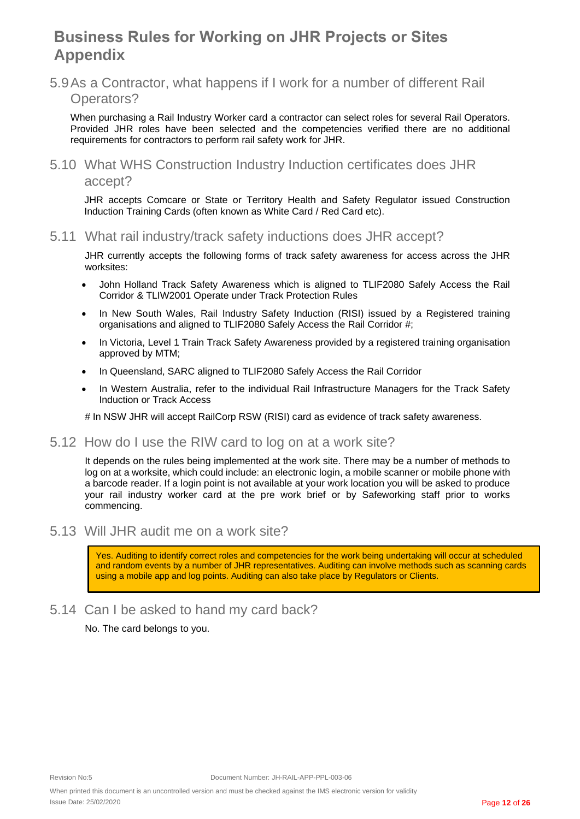<span id="page-11-0"></span>5.9As a Contractor, what happens if I work for a number of different Rail Operators?

When purchasing a Rail Industry Worker card a contractor can select roles for several Rail Operators. Provided JHR roles have been selected and the competencies verified there are no additional requirements for contractors to perform rail safety work for JHR.

<span id="page-11-1"></span>5.10 What WHS Construction Industry Induction certificates does JHR accept?

JHR accepts Comcare or State or Territory Health and Safety Regulator issued Construction Induction Training Cards (often known as White Card / Red Card etc).

<span id="page-11-2"></span>5.11 What rail industry/track safety inductions does JHR accept?

JHR currently accepts the following forms of track safety awareness for access across the JHR worksites:

- John Holland Track Safety Awareness which is aligned to TLIF2080 Safely Access the Rail Corridor & TLIW2001 Operate under Track Protection Rules
- In New South Wales, Rail Industry Safety Induction (RISI) issued by a Registered training organisations and aligned to TLIF2080 Safely Access the Rail Corridor #;
- In Victoria, Level 1 Train Track Safety Awareness provided by a registered training organisation approved by MTM;
- In Queensland, SARC aligned to TLIF2080 Safely Access the Rail Corridor
- In Western Australia, refer to the individual Rail Infrastructure Managers for the Track Safety Induction or Track Access

# In NSW JHR will accept RailCorp RSW (RISI) card as evidence of track safety awareness.

#### <span id="page-11-3"></span>5.12 How do I use the RIW card to log on at a work site?

It depends on the rules being implemented at the work site. There may be a number of methods to log on at a worksite, which could include: an electronic login, a mobile scanner or mobile phone with a barcode reader. If a login point is not available at your work location you will be asked to produce your rail industry worker card at the pre work brief or by Safeworking staff prior to works commencing.

<span id="page-11-4"></span>5.13 Will JHR audit me on a work site?

Yes. Auditing to identify correct roles and competencies for the work being undertaking will occur at scheduled and random events by a number of JHR representatives. Auditing can involve methods such as scanning cards using a mobile app and log points. Auditing can also take place by Regulators or Clients.

<span id="page-11-5"></span>5.14 Can I be asked to hand my card back?

No. The card belongs to you.

When printed this document is an uncontrolled version and must be checked against the IMS electronic version for validity Issue Date: 25/02/2020 Page **12** of **26**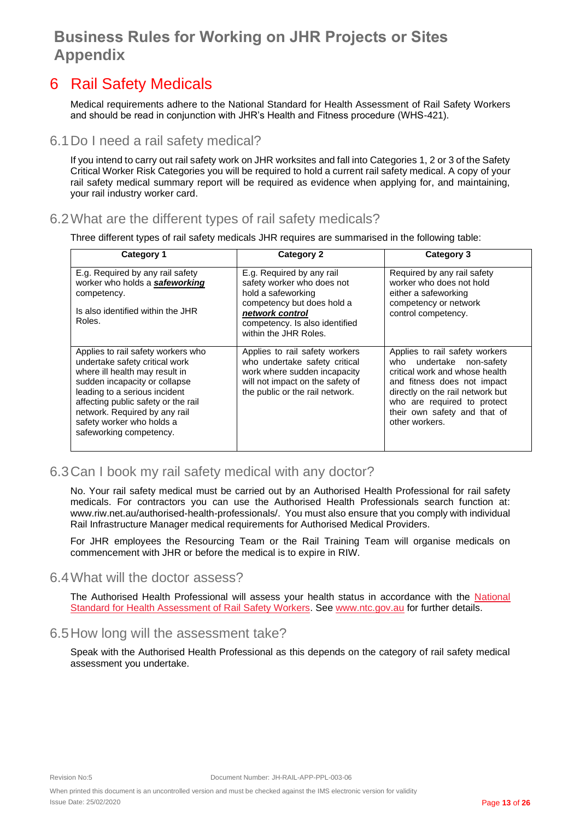### <span id="page-12-0"></span>6 Rail Safety Medicals

Medical requirements adhere to the National Standard for Health Assessment of Rail Safety Workers and should be read in conjunction with JHR's Health and Fitness procedure (WHS-421).

### <span id="page-12-1"></span>6.1Do I need a rail safety medical?

If you intend to carry out rail safety work on JHR worksites and fall into Categories 1, 2 or 3 of the Safety Critical Worker Risk Categories you will be required to hold a current rail safety medical. A copy of your rail safety medical summary report will be required as evidence when applying for, and maintaining, your rail industry worker card.

### <span id="page-12-2"></span>6.2What are the different types of rail safety medicals?

Three different types of rail safety medicals JHR requires are summarised in the following table:

| Category 1                                                                                                                                                                                                                                                                                               | <b>Category 2</b>                                                                                                                                                                         | Category 3                                                                                                                                                                                                                                       |
|----------------------------------------------------------------------------------------------------------------------------------------------------------------------------------------------------------------------------------------------------------------------------------------------------------|-------------------------------------------------------------------------------------------------------------------------------------------------------------------------------------------|--------------------------------------------------------------------------------------------------------------------------------------------------------------------------------------------------------------------------------------------------|
| E.g. Required by any rail safety<br>worker who holds a safeworking<br>competency.<br>Is also identified within the JHR<br>Roles.                                                                                                                                                                         | E.g. Required by any rail<br>safety worker who does not<br>hold a safeworking<br>competency but does hold a<br>network control<br>competency. Is also identified<br>within the JHR Roles. | Required by any rail safety<br>worker who does not hold<br>either a safeworking<br>competency or network<br>control competency.                                                                                                                  |
| Applies to rail safety workers who<br>undertake safety critical work<br>where ill health may result in<br>sudden incapacity or collapse<br>leading to a serious incident<br>affecting public safety or the rail<br>network. Required by any rail<br>safety worker who holds a<br>safeworking competency. | Applies to rail safety workers<br>who undertake safety critical<br>work where sudden incapacity<br>will not impact on the safety of<br>the public or the rail network.                    | Applies to rail safety workers<br>who undertake non-safety<br>critical work and whose health<br>and fitness does not impact<br>directly on the rail network but<br>who are required to protect<br>their own safety and that of<br>other workers. |

### <span id="page-12-3"></span>6.3Can I book my rail safety medical with any doctor?

No. Your rail safety medical must be carried out by an Authorised Health Professional for rail safety medicals. For contractors you can use the Authorised Health Professionals search function at: www.riw.net.au/authorised-health-professionals/. You must also ensure that you comply with individual Rail Infrastructure Manager medical requirements for Authorised Medical Providers.

For JHR employees the Resourcing Team or the Rail Training Team will organise medicals on commencement with JHR or before the medical is to expire in RIW.

#### <span id="page-12-4"></span>6.4What will the doctor assess?

The Authorised Health Professional will assess your health status in accordance with the National [Standard for Health Assessment of Rail Safety Workers](http://www.ntc.gov.au/viewpage.aspx?AreaId=35&DocumentId=1669). See [www.ntc.gov.au](http://www.ntc.gov.au/) for further details.

#### <span id="page-12-5"></span>6.5How long will the assessment take?

Speak with the Authorised Health Professional as this depends on the category of rail safety medical assessment you undertake.

When printed this document is an uncontrolled version and must be checked against the IMS electronic version for validity Issue Date: 25/02/2020 Page **13** of **26**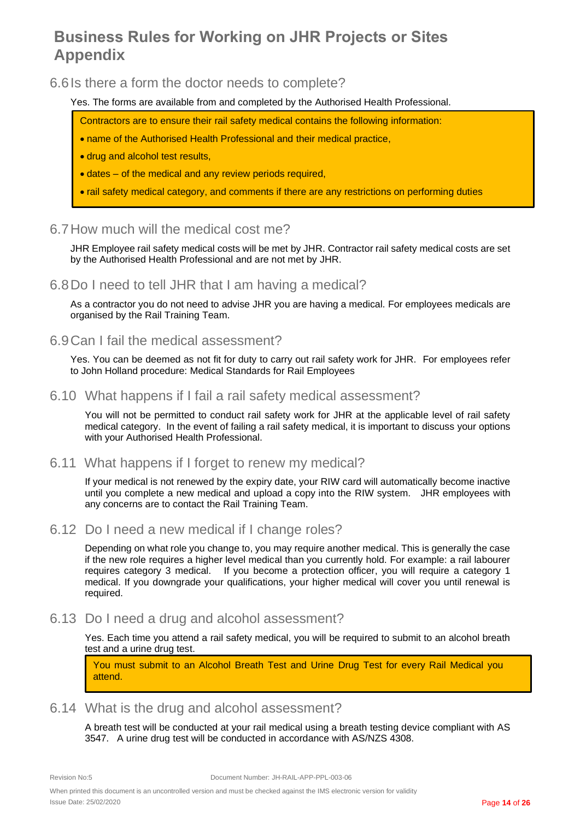<span id="page-13-0"></span>6.6Is there a form the doctor needs to complete?

Yes. The forms are available from and completed by the Authorised Health Professional.

- Contractors are to ensure their rail safety medical contains the following information:
- name of the Authorised Health Professional and their medical practice,
- drug and alcohol test results,
- dates of the medical and any review periods required,
- rail safety medical category, and comments if there are any restrictions on performing duties

### <span id="page-13-1"></span>6.7How much will the medical cost me?

JHR Employee rail safety medical costs will be met by JHR. Contractor rail safety medical costs are set by the Authorised Health Professional and are not met by JHR.

#### <span id="page-13-2"></span>6.8Do I need to tell JHR that I am having a medical?

As a contractor you do not need to advise JHR you are having a medical. For employees medicals are organised by the Rail Training Team.

#### <span id="page-13-3"></span>6.9Can I fail the medical assessment?

Yes. You can be deemed as not fit for duty to carry out rail safety work for JHR. For employees refer to John Holland procedure: Medical Standards for Rail Employees

#### <span id="page-13-4"></span>6.10 What happens if I fail a rail safety medical assessment?

You will not be permitted to conduct rail safety work for JHR at the applicable level of rail safety medical category. In the event of failing a rail safety medical, it is important to discuss your options with your Authorised Health Professional.

#### <span id="page-13-5"></span>6.11 What happens if I forget to renew my medical?

If your medical is not renewed by the expiry date, your RIW card will automatically become inactive until you complete a new medical and upload a copy into the RIW system. JHR employees with any concerns are to contact the Rail Training Team.

<span id="page-13-6"></span>6.12 Do I need a new medical if I change roles?

Depending on what role you change to, you may require another medical. This is generally the case if the new role requires a higher level medical than you currently hold. For example: a rail labourer requires category 3 medical. If you become a protection officer, you will require a category 1 medical. If you downgrade your qualifications, your higher medical will cover you until renewal is required.

### <span id="page-13-7"></span>6.13 Do I need a drug and alcohol assessment?

Yes. Each time you attend a rail safety medical, you will be required to submit to an alcohol breath test and a urine drug test.

You must submit to an Alcohol Breath Test and Urine Drug Test for every Rail Medical you attend.

### <span id="page-13-8"></span>6.14 What is the drug and alcohol assessment?

A breath test will be conducted at your rail medical using a breath testing device compliant with AS 3547. A urine drug test will be conducted in accordance with AS/NZS 4308.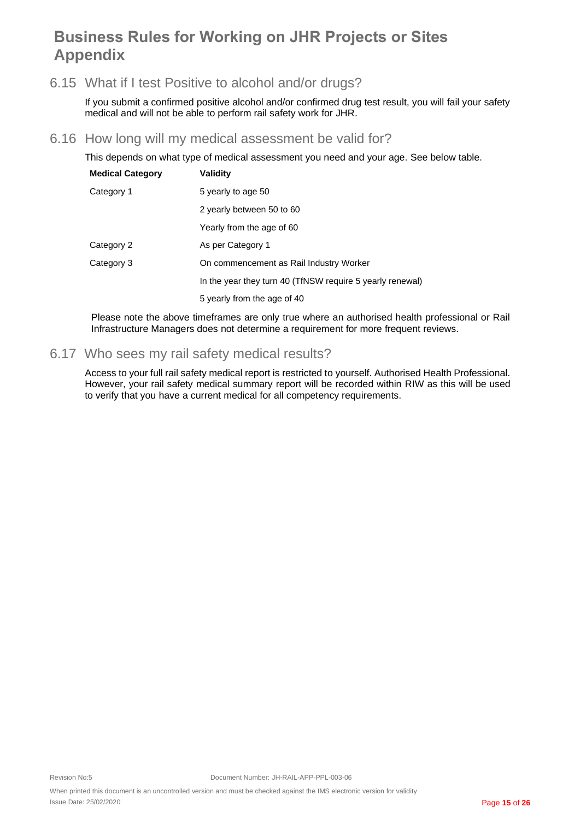### <span id="page-14-0"></span>6.15 What if I test Positive to alcohol and/or drugs?

If you submit a confirmed positive alcohol and/or confirmed drug test result, you will fail your safety medical and will not be able to perform rail safety work for JHR.

#### <span id="page-14-1"></span>6.16 How long will my medical assessment be valid for?

This depends on what type of medical assessment you need and your age. See below table.

| <b>Medical Category</b> | <b>Validity</b>                                           |
|-------------------------|-----------------------------------------------------------|
| Category 1              | 5 yearly to age 50                                        |
|                         | 2 yearly between 50 to 60                                 |
|                         | Yearly from the age of 60                                 |
| Category 2              | As per Category 1                                         |
| Category 3              | On commencement as Rail Industry Worker                   |
|                         | In the year they turn 40 (TfNSW require 5 yearly renewal) |
|                         | 5 yearly from the age of 40                               |

Please note the above timeframes are only true where an authorised health professional or Rail Infrastructure Managers does not determine a requirement for more frequent reviews.

### <span id="page-14-2"></span>6.17 Who sees my rail safety medical results?

Access to your full rail safety medical report is restricted to yourself. Authorised Health Professional. However, your rail safety medical summary report will be recorded within RIW as this will be used to verify that you have a current medical for all competency requirements.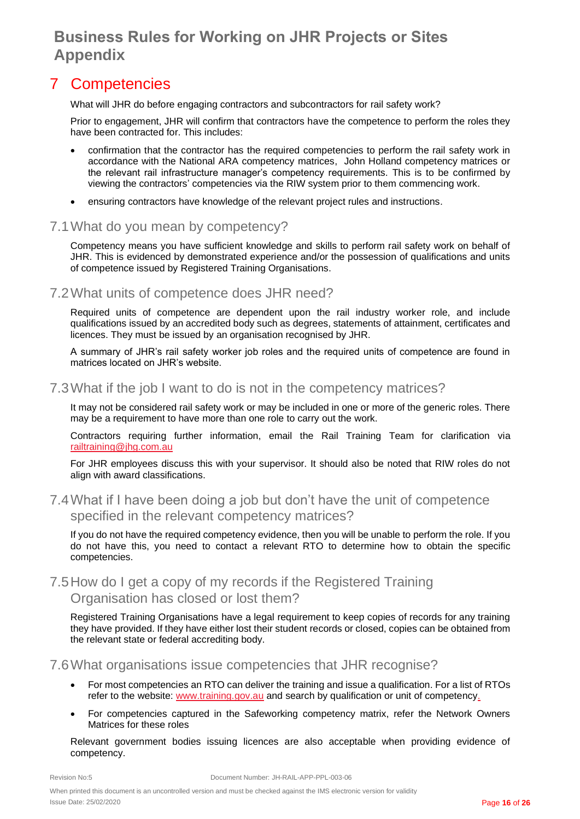### <span id="page-15-0"></span>7 Competencies

What will JHR do before engaging contractors and subcontractors for rail safety work?

Prior to engagement, JHR will confirm that contractors have the competence to perform the roles they have been contracted for. This includes:

- confirmation that the contractor has the required competencies to perform the rail safety work in accordance with the National ARA competency matrices, John Holland competency matrices or the relevant rail infrastructure manager's competency requirements. This is to be confirmed by viewing the contractors' competencies via the RIW system prior to them commencing work.
- ensuring contractors have knowledge of the relevant project rules and instructions.

#### <span id="page-15-1"></span>7.1What do you mean by competency?

Competency means you have sufficient knowledge and skills to perform rail safety work on behalf of JHR. This is evidenced by demonstrated experience and/or the possession of qualifications and units of competence issued by Registered Training Organisations.

### <span id="page-15-2"></span>7.2What units of competence does JHR need?

Required units of competence are dependent upon the rail industry worker role, and include qualifications issued by an accredited body such as degrees, statements of attainment, certificates and licences. They must be issued by an organisation recognised by JHR.

A summary of JHR's rail safety worker job roles and the required units of competence are found in matrices located on JHR's website.

#### <span id="page-15-3"></span>7.3What if the job I want to do is not in the competency matrices?

It may not be considered rail safety work or may be included in one or more of the generic roles. There may be a requirement to have more than one role to carry out the work.

Contractors requiring further information, email the Rail Training Team for clarification via [railtraining@jhg.com.au](mailto:railtraining@jhg.com.au)

For JHR employees discuss this with your supervisor. It should also be noted that RIW roles do not align with award classifications.

### <span id="page-15-4"></span>7.4What if I have been doing a job but don't have the unit of competence specified in the relevant competency matrices?

If you do not have the required competency evidence, then you will be unable to perform the role. If you do not have this, you need to contact a relevant RTO to determine how to obtain the specific competencies.

### <span id="page-15-5"></span>7.5How do I get a copy of my records if the Registered Training Organisation has closed or lost them?

Registered Training Organisations have a legal requirement to keep copies of records for any training they have provided. If they have either lost their student records or closed, copies can be obtained from the relevant state or federal accrediting body.

#### <span id="page-15-6"></span>7.6What organisations issue competencies that JHR recognise?

- For most competencies an RTO can deliver the training and issue a qualification. For a list of RTOs refer to the website: [www.training.gov.au](http://www.training.gov.au/) and search by qualification or unit of competency.
- For competencies captured in the Safeworking competency matrix, refer the Network Owners Matrices for these roles

Relevant government bodies issuing licences are also acceptable when providing evidence of competency.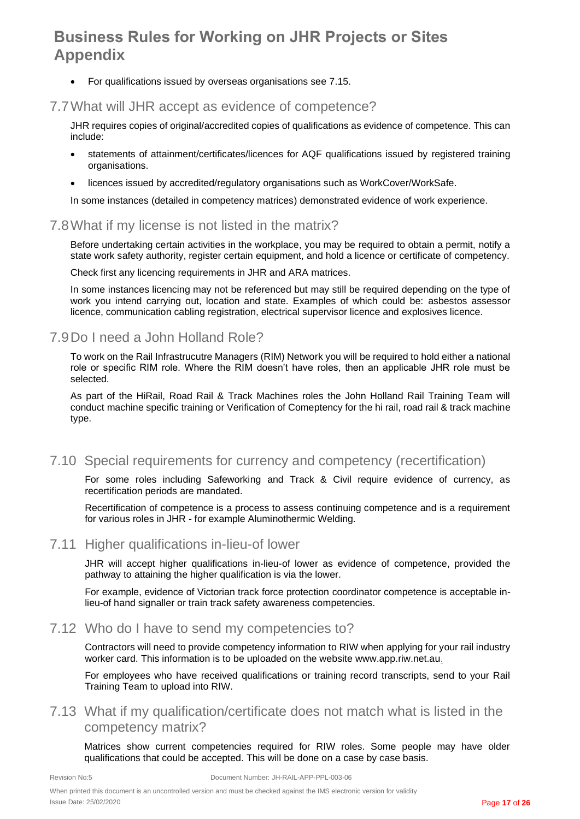• For qualifications issued by overseas organisations see [7.15.](#page-17-1)

### <span id="page-16-0"></span>7.7What will JHR accept as evidence of competence?

JHR requires copies of original/accredited copies of qualifications as evidence of competence. This can include:

- statements of attainment/certificates/licences for AQF qualifications issued by registered training organisations.
- licences issued by accredited/regulatory organisations such as WorkCover/WorkSafe.

In some instances (detailed in competency matrices) demonstrated evidence of work experience.

### <span id="page-16-1"></span>7.8What if my license is not listed in the matrix?

Before undertaking certain activities in the workplace, you may be required to obtain a permit, notify a state work safety authority, register certain equipment, and hold a licence or certificate of competency.

Check first any licencing requirements in JHR and ARA matrices.

In some instances licencing may not be referenced but may still be required depending on the type of work you intend carrying out, location and state. Examples of which could be: asbestos assessor licence, communication cabling registration, electrical supervisor licence and explosives licence.

### <span id="page-16-2"></span>7.9Do I need a John Holland Role?

To work on the Rail Infrastrucutre Managers (RIM) Network you will be required to hold either a national role or specific RIM role. Where the RIM doesn't have roles, then an applicable JHR role must be selected.

As part of the HiRail, Road Rail & Track Machines roles the John Holland Rail Training Team will conduct machine specific training or Verification of Comeptency for the hi rail, road rail & track machine type.

### <span id="page-16-3"></span>7.10 Special requirements for currency and competency (recertification)

For some roles including Safeworking and Track & Civil require evidence of currency, as recertification periods are mandated.

Recertification of competence is a process to assess continuing competence and is a requirement for various roles in JHR - for example Aluminothermic Welding.

#### <span id="page-16-4"></span>7.11 Higher qualifications in-lieu-of lower

JHR will accept higher qualifications in-lieu-of lower as evidence of competence, provided the pathway to attaining the higher qualification is via the lower.

For example, evidence of Victorian track force protection coordinator competence is acceptable inlieu-of hand signaller or train track safety awareness competencies.

#### <span id="page-16-5"></span>7.12 Who do I have to send my competencies to?

Contractors will need to provide competency information to RIW when applying for your rail industry worker card. This information is to be uploaded on the website www.app.riw.net.au.

For employees who have received qualifications or training record transcripts, send to your Rail Training Team to upload into RIW.

### <span id="page-16-6"></span>7.13 What if my qualification/certificate does not match what is listed in the competency matrix?

Matrices show current competencies required for RIW roles. Some people may have older qualifications that could be accepted. This will be done on a case by case basis.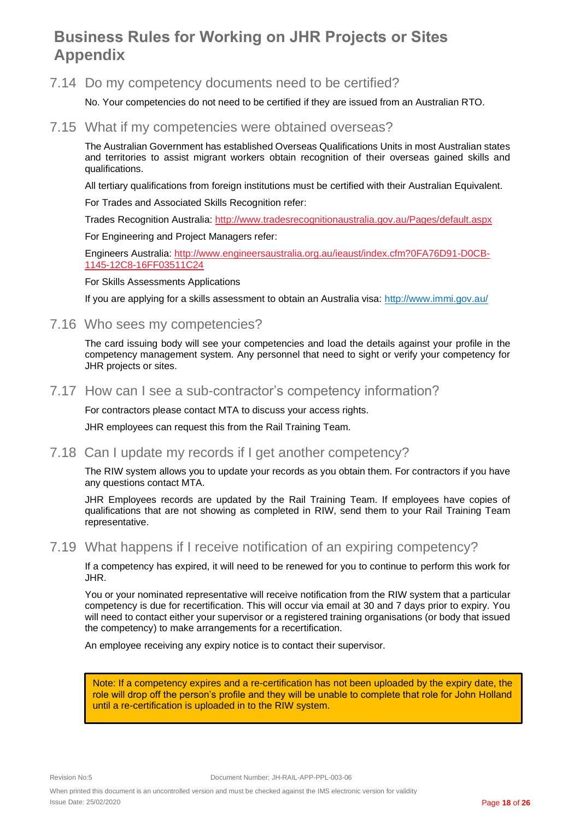#### <span id="page-17-0"></span>7.14 Do my competency documents need to be certified?

No. Your competencies do not need to be certified if they are issued from an Australian RTO.

#### <span id="page-17-1"></span>7.15 What if my competencies were obtained overseas?

The Australian Government has established Overseas Qualifications Units in most Australian states and territories to assist migrant workers obtain recognition of their overseas gained skills and qualifications.

All tertiary qualifications from foreign institutions must be certified with their Australian Equivalent.

For Trades and Associated Skills Recognition refer:

Trades Recognition Australia:<http://www.tradesrecognitionaustralia.gov.au/Pages/default.aspx>

For Engineering and Project Managers refer:

Engineers Australia: [http://www.engineersaustralia.org.au/ieaust/index.cfm?0FA76D91-D0CB-](http://www.engineersaustralia.org.au/ieaust/index.cfm?0FA76D91-D0CB-1145-12C8-16FF03511C24)[1145-12C8-16FF03511C24](http://www.engineersaustralia.org.au/ieaust/index.cfm?0FA76D91-D0CB-1145-12C8-16FF03511C24)

For Skills Assessments Applications

If you are applying for a skills assessment to obtain an Australia visa:<http://www.immi.gov.au/>

#### <span id="page-17-2"></span>7.16 Who sees my competencies?

The card issuing body will see your competencies and load the details against your profile in the competency management system. Any personnel that need to sight or verify your competency for JHR projects or sites.

#### <span id="page-17-3"></span>7.17 How can I see a sub-contractor's competency information?

For contractors please contact MTA to discuss your access rights.

JHR employees can request this from the Rail Training Team.

#### <span id="page-17-4"></span>7.18 Can I update my records if I get another competency?

The RIW system allows you to update your records as you obtain them. For contractors if you have any questions contact MTA.

JHR Employees records are updated by the Rail Training Team. If employees have copies of qualifications that are not showing as completed in RIW, send them to your Rail Training Team representative.

#### <span id="page-17-5"></span>7.19 What happens if I receive notification of an expiring competency?

If a competency has expired, it will need to be renewed for you to continue to perform this work for JHR.

You or your nominated representative will receive notification from the RIW system that a particular competency is due for recertification. This will occur via email at 30 and 7 days prior to expiry. You will need to contact either your supervisor or a registered training organisations (or body that issued the competency) to make arrangements for a recertification.

An employee receiving any expiry notice is to contact their supervisor.

Note: If a competency expires and a re-certification has not been uploaded by the expiry date, the role will drop off the person's profile and they will be unable to complete that role for John Holland until a re-certification is uploaded in to the RIW system.

When printed this document is an uncontrolled version and must be checked against the IMS electronic version for validity Issue Date: 25/02/2020 Page **18** of **26**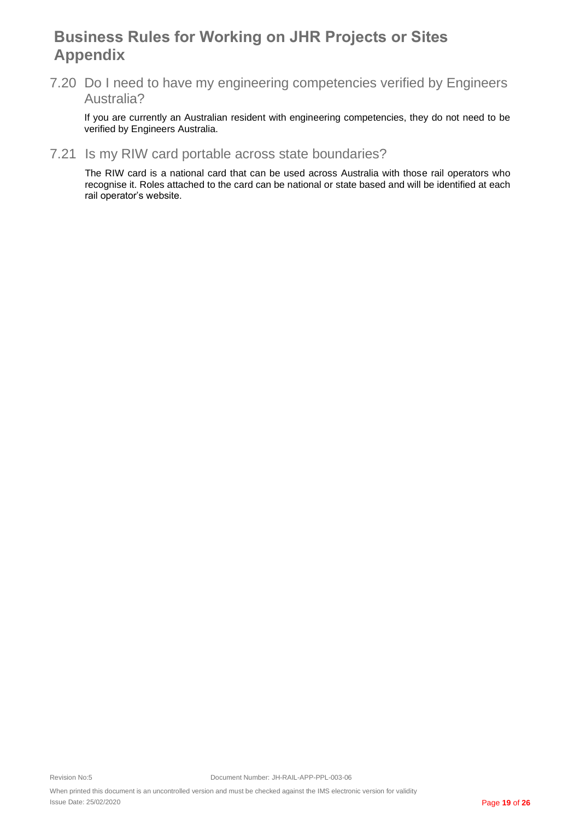<span id="page-18-0"></span>7.20 Do I need to have my engineering competencies verified by Engineers Australia?

If you are currently an Australian resident with engineering competencies, they do not need to be verified by Engineers Australia.

### <span id="page-18-1"></span>7.21 Is my RIW card portable across state boundaries?

The RIW card is a national card that can be used across Australia with those rail operators who recognise it. Roles attached to the card can be national or state based and will be identified at each rail operator's website.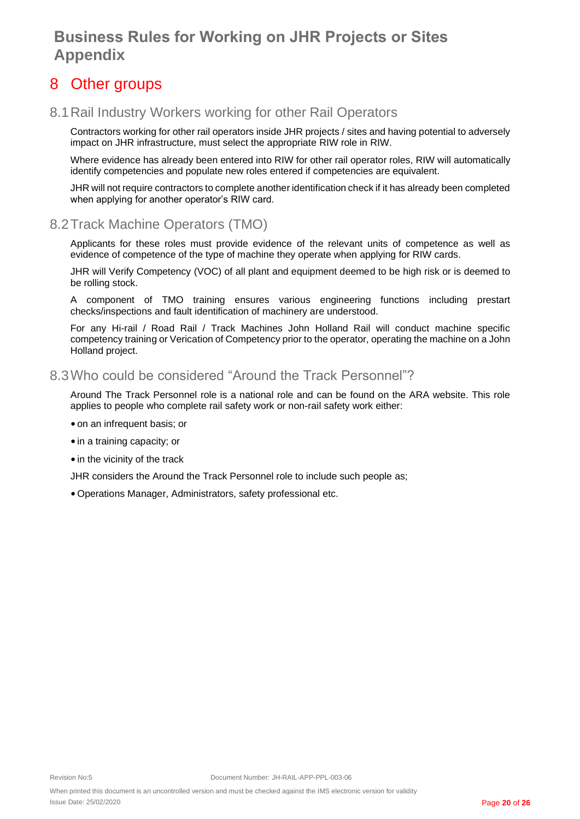### <span id="page-19-0"></span>8 Other groups

### <span id="page-19-1"></span>8.1Rail Industry Workers working for other Rail Operators

Contractors working for other rail operators inside JHR projects / sites and having potential to adversely impact on JHR infrastructure, must select the appropriate RIW role in RIW.

Where evidence has already been entered into RIW for other rail operator roles, RIW will automatically identify competencies and populate new roles entered if competencies are equivalent.

JHR will not require contractors to complete another identification check if it has already been completed when applying for another operator's RIW card.

### <span id="page-19-2"></span>8.2Track Machine Operators (TMO)

Applicants for these roles must provide evidence of the relevant units of competence as well as evidence of competence of the type of machine they operate when applying for RIW cards.

JHR will Verify Competency (VOC) of all plant and equipment deemed to be high risk or is deemed to be rolling stock.

A component of TMO training ensures various engineering functions including prestart checks/inspections and fault identification of machinery are understood.

For any Hi-rail / Road Rail / Track Machines John Holland Rail will conduct machine specific competency training or Verication of Competency prior to the operator, operating the machine on a John Holland project.

### <span id="page-19-3"></span>8.3Who could be considered "Around the Track Personnel"?

Around The Track Personnel role is a national role and can be found on the ARA website. This role applies to people who complete rail safety work or non-rail safety work either:

- •on an infrequent basis; or
- in a training capacity; or
- in the vicinity of the track

JHR considers the Around the Track Personnel role to include such people as;

•Operations Manager, Administrators, safety professional etc.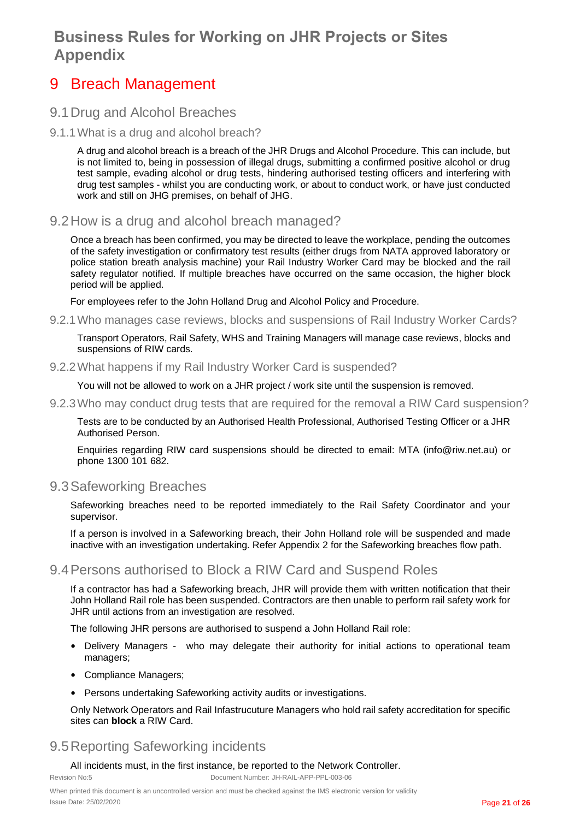### <span id="page-20-0"></span>9 Breach Management

### <span id="page-20-1"></span>9.1Drug and Alcohol Breaches

<span id="page-20-2"></span>9.1.1What is a drug and alcohol breach?

A drug and alcohol breach is a breach of the JHR Drugs and Alcohol Procedure. This can include, but is not limited to, being in possession of illegal drugs, submitting a confirmed positive alcohol or drug test sample, evading alcohol or drug tests, hindering authorised testing officers and interfering with drug test samples - whilst you are conducting work, or about to conduct work, or have just conducted work and still on JHG premises, on behalf of JHG.

<span id="page-20-3"></span>9.2How is a drug and alcohol breach managed?

Once a breach has been confirmed, you may be directed to leave the workplace, pending the outcomes of the safety investigation or confirmatory test results (either drugs from NATA approved laboratory or police station breath analysis machine) your Rail Industry Worker Card may be blocked and the rail safety regulator notified. If multiple breaches have occurred on the same occasion, the higher block period will be applied.

For employees refer to the John Holland Drug and Alcohol Policy and Procedure.

<span id="page-20-4"></span>9.2.1Who manages case reviews, blocks and suspensions of Rail Industry Worker Cards?

Transport Operators, Rail Safety, WHS and Training Managers will manage case reviews, blocks and suspensions of RIW cards.

#### <span id="page-20-5"></span>9.2.2What happens if my Rail Industry Worker Card is suspended?

You will not be allowed to work on a JHR project / work site until the suspension is removed.

<span id="page-20-6"></span>9.2.3Who may conduct drug tests that are required for the removal a RIW Card suspension?

Tests are to be conducted by an Authorised Health Professional, Authorised Testing Officer or a JHR Authorised Person.

Enquiries regarding RIW card suspensions should be directed to email: MTA (info@riw.net.au) or phone 1300 101 682.

### <span id="page-20-7"></span>9.3Safeworking Breaches

Safeworking breaches need to be reported immediately to the Rail Safety Coordinator and your supervisor.

If a person is involved in a Safeworking breach, their John Holland role will be suspended and made inactive with an investigation undertaking. Refer Appendix 2 for the Safeworking breaches flow path.

### <span id="page-20-8"></span>9.4Persons authorised to Block a RIW Card and Suspend Roles

If a contractor has had a Safeworking breach, JHR will provide them with written notification that their John Holland Rail role has been suspended. Contractors are then unable to perform rail safety work for JHR until actions from an investigation are resolved.

The following JHR persons are authorised to suspend a John Holland Rail role:

- Delivery Managers who may delegate their authority for initial actions to operational team managers;
- Compliance Managers;
- Persons undertaking Safeworking activity audits or investigations.

Only Network Operators and Rail Infastrucuture Managers who hold rail safety accreditation for specific sites can **block** a RIW Card.

### <span id="page-20-9"></span>9.5Reporting Safeworking incidents

#### All incidents must, in the first instance, be reported to the Network Controller.

Revision No:5 Document Number: JH-RAIL-APP-PPL-003-06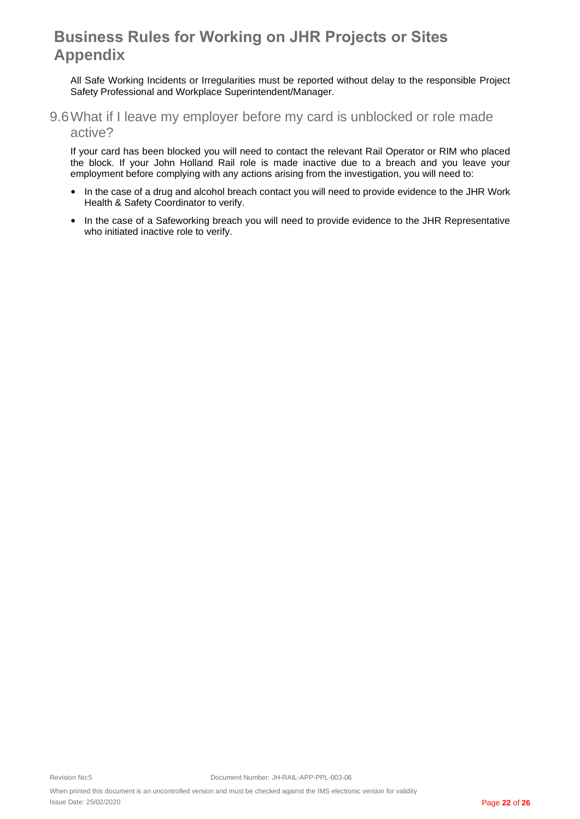All Safe Working Incidents or Irregularities must be reported without delay to the responsible Project Safety Professional and Workplace Superintendent/Manager.

<span id="page-21-0"></span>9.6What if I leave my employer before my card is unblocked or role made active?

If your card has been blocked you will need to contact the relevant Rail Operator or RIM who placed the block. If your John Holland Rail role is made inactive due to a breach and you leave your employment before complying with any actions arising from the investigation, you will need to:

- In the case of a drug and alcohol breach contact you will need to provide evidence to the JHR Work Health & Safety Coordinator to verify.
- In the case of a Safeworking breach you will need to provide evidence to the JHR Representative who initiated inactive role to verify.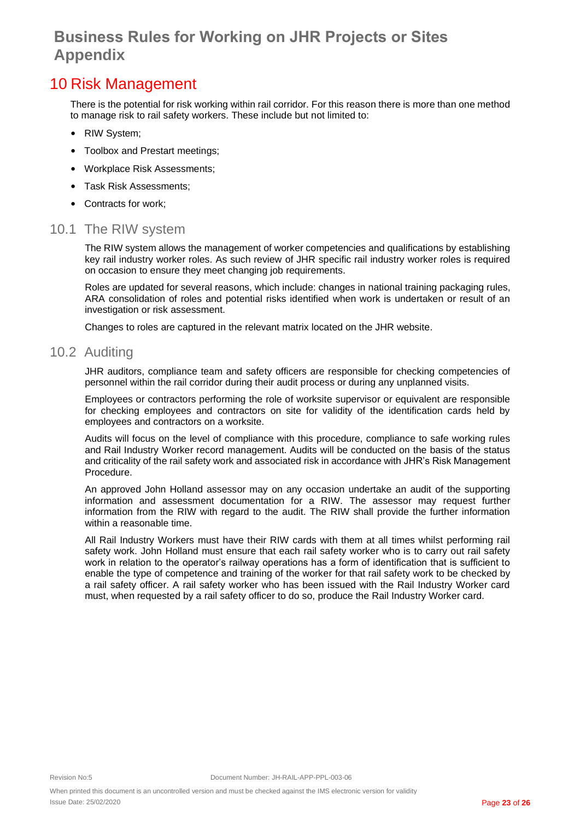### <span id="page-22-0"></span>10 Risk Management

There is the potential for risk working within rail corridor. For this reason there is more than one method to manage risk to rail safety workers. These include but not limited to:

- RIW System;
- Toolbox and Prestart meetings;
- Workplace Risk Assessments;
- Task Risk Assessments;
- Contracts for work;

#### <span id="page-22-1"></span>10.1 The RIW system

The RIW system allows the management of worker competencies and qualifications by establishing key rail industry worker roles. As such review of JHR specific rail industry worker roles is required on occasion to ensure they meet changing job requirements.

Roles are updated for several reasons, which include: changes in national training packaging rules, ARA consolidation of roles and potential risks identified when work is undertaken or result of an investigation or risk assessment.

Changes to roles are captured in the relevant matrix located on the JHR website.

#### <span id="page-22-2"></span>10.2 Auditing

JHR auditors, compliance team and safety officers are responsible for checking competencies of personnel within the rail corridor during their audit process or during any unplanned visits.

Employees or contractors performing the role of worksite supervisor or equivalent are responsible for checking employees and contractors on site for validity of the identification cards held by employees and contractors on a worksite.

Audits will focus on the level of compliance with this procedure, compliance to safe working rules and Rail Industry Worker record management. Audits will be conducted on the basis of the status and criticality of the rail safety work and associated risk in accordance with [JHR's Risk Management](http://intranet.artc.com.au/docs/safety/safety_manag/RM-01_2010_V6.1.pdf)  [Procedure.](http://intranet.artc.com.au/docs/safety/safety_manag/RM-01_2010_V6.1.pdf)

An approved John Holland assessor may on any occasion undertake an audit of the supporting information and assessment documentation for a RIW. The assessor may request further information from the RIW with regard to the audit. The RIW shall provide the further information within a reasonable time.

All Rail Industry Workers must have their RIW cards with them at all times whilst performing rail safety work. John Holland must ensure that each rail safety worker who is to carry out rail safety work in relation to the operator's railway operations has a form of identification that is sufficient to enable the type of competence and training of the worker for that rail safety work to be checked by a rail safety officer. A rail safety worker who has been issued with the Rail Industry Worker card must, when requested by a rail safety officer to do so, produce the Rail Industry Worker card.

When printed this document is an uncontrolled version and must be checked against the IMS electronic version for validity Issue Date: 25/02/2020 Page **23** of **26**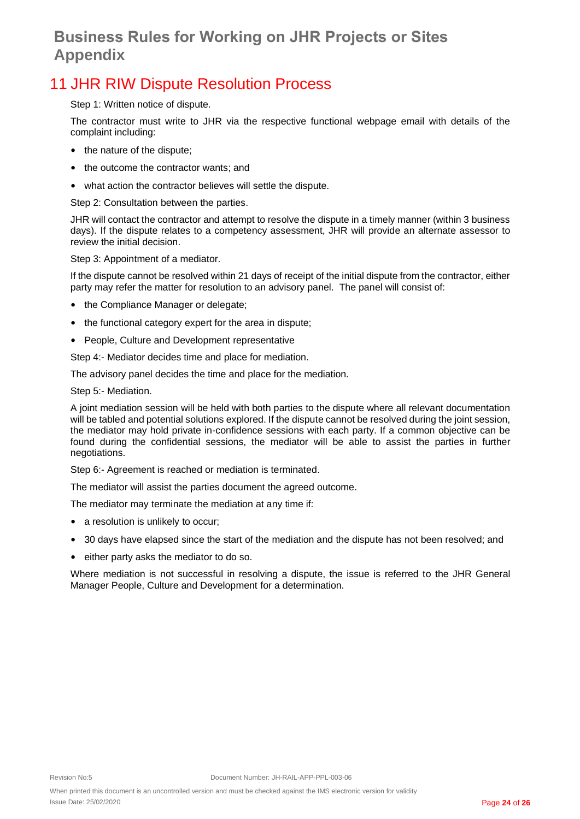## <span id="page-23-0"></span>11 JHR RIW Dispute Resolution Process

Step 1: Written notice of dispute.

The contractor must write to JHR via the respective functional webpage email with details of the complaint including:

- the nature of the dispute;
- the outcome the contractor wants; and
- what action the contractor believes will settle the dispute.

Step 2: Consultation between the parties.

JHR will contact the contractor and attempt to resolve the dispute in a timely manner (within 3 business days). If the dispute relates to a competency assessment, JHR will provide an alternate assessor to review the initial decision.

Step 3: Appointment of a mediator.

If the dispute cannot be resolved within 21 days of receipt of the initial dispute from the contractor, either party may refer the matter for resolution to an advisory panel. The panel will consist of:

- the Compliance Manager or delegate;
- the functional category expert for the area in dispute;
- People, Culture and Development representative

Step 4:- Mediator decides time and place for mediation.

The advisory panel decides the time and place for the mediation.

Step 5:- Mediation.

A joint mediation session will be held with both parties to the dispute where all relevant documentation will be tabled and potential solutions explored. If the dispute cannot be resolved during the joint session, the mediator may hold private in-confidence sessions with each party. If a common objective can be found during the confidential sessions, the mediator will be able to assist the parties in further negotiations.

Step 6:- Agreement is reached or mediation is terminated.

The mediator will assist the parties document the agreed outcome.

The mediator may terminate the mediation at any time if:

- a resolution is unlikely to occur;
- 30 days have elapsed since the start of the mediation and the dispute has not been resolved; and
- either party asks the mediator to do so.

Where mediation is not successful in resolving a dispute, the issue is referred to the JHR General Manager People, Culture and Development for a determination.

When printed this document is an uncontrolled version and must be checked against the IMS electronic version for validity Issue Date: 25/02/2020 Page **24** of **26**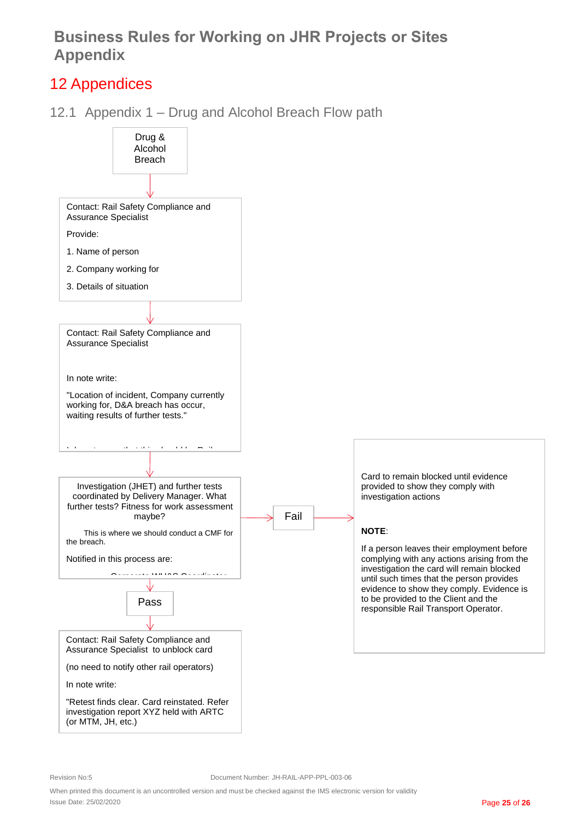## <span id="page-24-0"></span>12 Appendices

<span id="page-24-1"></span>12.1 Appendix 1 – Drug and Alcohol Breach Flow path



When printed this document is an uncontrolled version and must be checked against the IMS electronic version for validity Issue Date: 25/02/2020 Page **25** of **26**